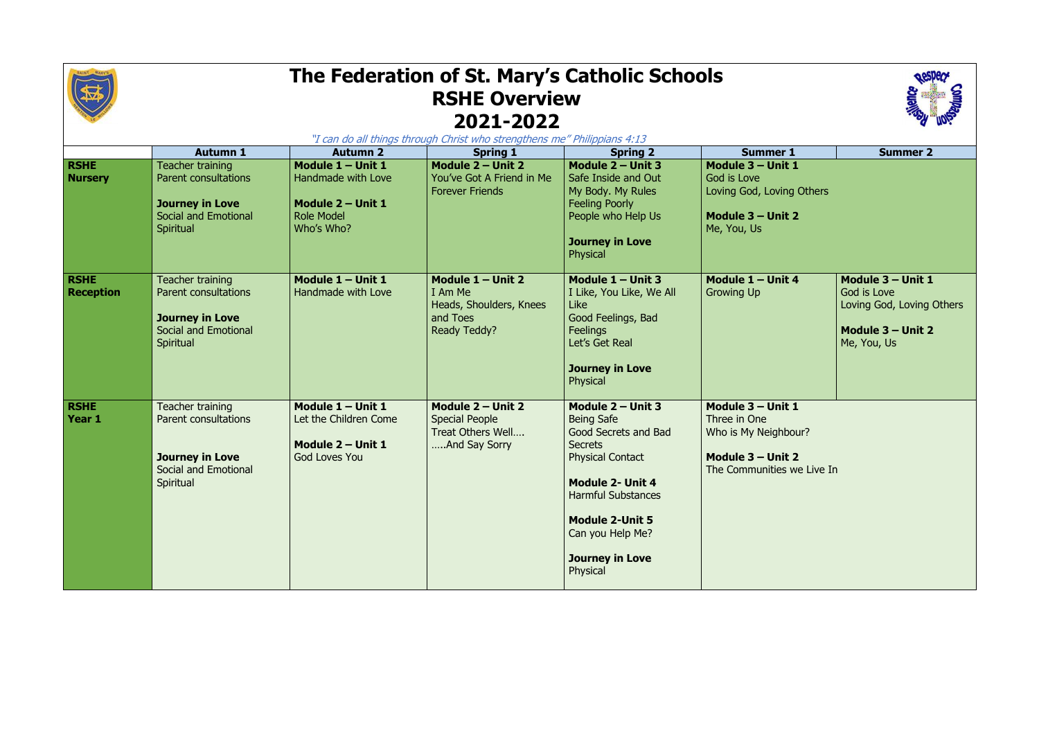

## **The Federation of St. Mary's Catholic Schools RSHE Overview 2021-2022**

| "I can do all things through Christ who strengthens me" Philippians 4:13 |                                                                                                                              |                                                                                                 |                                                                                       |                                                                                                                                                                                                                                                         |                                                                                                              |                                                                                                     |  |  |  |  |
|--------------------------------------------------------------------------|------------------------------------------------------------------------------------------------------------------------------|-------------------------------------------------------------------------------------------------|---------------------------------------------------------------------------------------|---------------------------------------------------------------------------------------------------------------------------------------------------------------------------------------------------------------------------------------------------------|--------------------------------------------------------------------------------------------------------------|-----------------------------------------------------------------------------------------------------|--|--|--|--|
|                                                                          | <b>Autumn 1</b>                                                                                                              | <b>Autumn 2</b>                                                                                 | <b>Spring 1</b>                                                                       | <b>Spring 2</b>                                                                                                                                                                                                                                         | <b>Summer 1</b>                                                                                              | <b>Summer 2</b>                                                                                     |  |  |  |  |
| <b>RSHE</b><br><b>Nursery</b>                                            | <b>Teacher training</b><br><b>Parent consultations</b><br><b>Journey in Love</b><br><b>Social and Emotional</b><br>Spiritual | Module 1 - Unit 1<br>Handmade with Love<br>Module 2 - Unit 1<br><b>Role Model</b><br>Who's Who? | Module 2 - Unit 2<br>You've Got A Friend in Me<br><b>Forever Friends</b>              | Module 2 - Unit 3<br>Safe Inside and Out<br>My Body. My Rules<br><b>Feeling Poorly</b><br>People who Help Us<br><b>Journey in Love</b><br>Physical                                                                                                      | Module 3 - Unit 1<br>God is Love<br>Loving God, Loving Others<br>Module $3 -$ Unit 2<br>Me, You, Us          |                                                                                                     |  |  |  |  |
| <b>RSHE</b><br><b>Reception</b>                                          | Teacher training<br><b>Parent consultations</b><br><b>Journey in Love</b><br><b>Social and Emotional</b><br>Spiritual        | Module $1 -$ Unit 1<br>Handmade with Love                                                       | Module $1 -$ Unit 2<br>I Am Me<br>Heads, Shoulders, Knees<br>and Toes<br>Ready Teddy? | Module $1 -$ Unit 3<br>I Like, You Like, We All<br>Like<br>Good Feelings, Bad<br><b>Feelings</b><br>Let's Get Real<br><b>Journey in Love</b><br>Physical                                                                                                | Module $1 -$ Unit 4<br><b>Growing Up</b>                                                                     | Module $3 -$ Unit 1<br>God is Love<br>Loving God, Loving Others<br>Module 3 - Unit 2<br>Me, You, Us |  |  |  |  |
| <b>RSHE</b><br>Year 1                                                    | Teacher training<br><b>Parent consultations</b><br><b>Journey in Love</b><br>Social and Emotional<br>Spiritual               | Module $1 -$ Unit 1<br>Let the Children Come<br>Module $2 -$ Unit 1<br><b>God Loves You</b>     | Module $2 -$ Unit 2<br><b>Special People</b><br>Treat Others Well<br>And Say Sorry    | Module 2 - Unit 3<br><b>Being Safe</b><br>Good Secrets and Bad<br><b>Secrets</b><br><b>Physical Contact</b><br><b>Module 2- Unit 4</b><br><b>Harmful Substances</b><br><b>Module 2-Unit 5</b><br>Can you Help Me?<br><b>Journey in Love</b><br>Physical | Module 3 - Unit 1<br>Three in One<br>Who is My Neighbour?<br>Module 3 - Unit 2<br>The Communities we Live In |                                                                                                     |  |  |  |  |